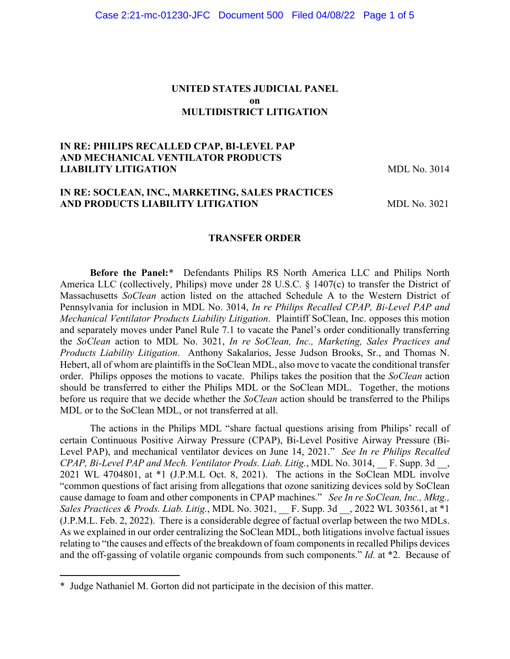#### **UNITED STATES JUDICIAL PANEL on MULTIDISTRICT LITIGATION**

## **IN RE: PHILIPS RECALLED CPAP, BI-LEVEL PAP AND MECHANICAL VENTILATOR PRODUCTS LIABILITY LITIGATION** MDL No. 3014

## **IN RE: SOCLEAN, INC., MARKETING, SALES PRACTICES AND PRODUCTS LIABILITY LITIGATION MDL No. 3021**

#### **TRANSFER ORDER**

**Before the Panel:**\* Defendants Philips RS North America LLC and Philips North America LLC (collectively, Philips) move under 28 U.S.C. § 1407(c) to transfer the District of Massachusetts *SoClean* action listed on the attached Schedule A to the Western District of Pennsylvania for inclusion in MDL No. 3014, *In re Philips Recalled CPAP, Bi-Level PAP and Mechanical Ventilator Products Liability Litigation*. Plaintiff SoClean, Inc. opposes this motion and separately moves under Panel Rule 7.1 to vacate the Panel's order conditionally transferring the *SoClean* action to MDL No. 3021, *In re SoClean, Inc., Marketing, Sales Practices and Products Liability Litigation*. Anthony Sakalarios, Jesse Judson Brooks, Sr., and Thomas N. Hebert, all of whom are plaintiffs in the SoClean MDL, also move to vacate the conditional transfer order. Philips opposes the motions to vacate. Philips takes the position that the *SoClean* action should be transferred to either the Philips MDL or the SoClean MDL. Together, the motions before us require that we decide whether the *SoClean* action should be transferred to the Philips MDL or to the SoClean MDL, or not transferred at all.

The actions in the Philips MDL "share factual questions arising from Philips' recall of certain Continuous Positive Airway Pressure (CPAP), Bi-Level Positive Airway Pressure (Bi-Level PAP), and mechanical ventilator devices on June 14, 2021." *See In re Philips Recalled CPAP, Bi-Level PAP and Mech. Ventilator Prods. Liab. Litig.*, MDL No. 3014, \_\_ F. Supp. 3d \_\_, 2021 WL 4704801, at \*1 (J.P.M.L Oct. 8, 2021). The actions in the SoClean MDL involve "common questions of fact arising from allegations that ozone sanitizing devices sold by SoClean cause damage to foam and other components in CPAP machines." *See In re SoClean, Inc., Mktg., Sales Practices & Prods. Liab. Litig., MDL No.* 3021, *F. Supp. 3d* , 2022 WL 303561, at \*1 (J.P.M.L. Feb. 2, 2022). There is a considerable degree of factual overlap between the two MDLs. As we explained in our order centralizing the SoClean MDL, both litigations involve factual issues relating to "the causes and effects of the breakdown of foam components in recalled Philips devices and the off-gassing of volatile organic compounds from such components." *Id.* at \*2. Because of

<sup>\*</sup> Judge Nathaniel M. Gorton did not participate in the decision of this matter.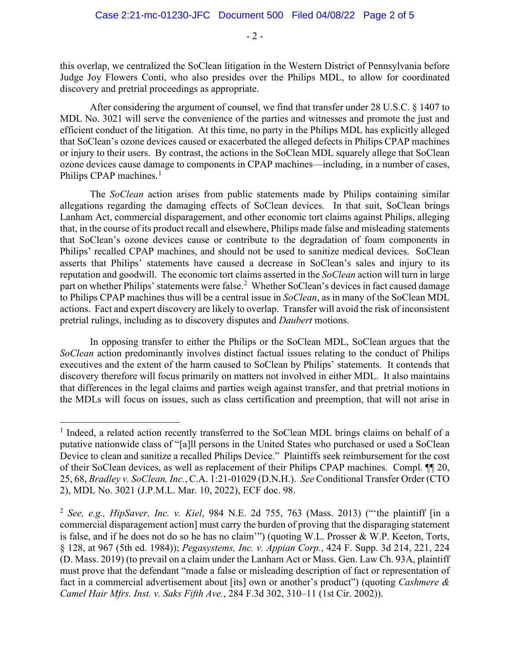this overlap, we centralized the SoClean litigation in the Western District of Pennsylvania before Judge Joy Flowers Conti, who also presides over the Philips MDL, to allow for coordinated discovery and pretrial proceedings as appropriate.

After considering the argument of counsel, we find that transfer under 28 U.S.C. § 1407 to MDL No. 3021 will serve the convenience of the parties and witnesses and promote the just and efficient conduct of the litigation. At this time, no party in the Philips MDL has explicitly alleged that SoClean's ozone devices caused or exacerbated the alleged defects in Philips CPAP machines or injury to their users. By contrast, the actions in the SoClean MDL squarely allege that SoClean ozone devices cause damage to components in CPAP machines—including, in a number of cases, Philips CPAP machines.<sup>1</sup>

The *SoClean* action arises from public statements made by Philips containing similar allegations regarding the damaging effects of SoClean devices. In that suit, SoClean brings Lanham Act, commercial disparagement, and other economic tort claims against Philips, alleging that, in the course of its product recall and elsewhere, Philips made false and misleading statements that SoClean's ozone devices cause or contribute to the degradation of foam components in Philips' recalled CPAP machines, and should not be used to sanitize medical devices. SoClean asserts that Philips' statements have caused a decrease in SoClean's sales and injury to its reputation and goodwill. The economic tort claims asserted in the *SoClean* action will turn in large part on whether Philips' statements were false.<sup>2</sup> Whether SoClean's devices in fact caused damage to Philips CPAP machines thus will be a central issue in *SoClean*, as in many of the SoClean MDL actions. Fact and expert discovery are likely to overlap. Transfer will avoid the risk of inconsistent pretrial rulings, including as to discovery disputes and *Daubert* motions.

In opposing transfer to either the Philips or the SoClean MDL, SoClean argues that the *SoClean* action predominantly involves distinct factual issues relating to the conduct of Philips executives and the extent of the harm caused to SoClean by Philips' statements. It contends that discovery therefore will focus primarily on matters not involved in either MDL. It also maintains that differences in the legal claims and parties weigh against transfer, and that pretrial motions in the MDLs will focus on issues, such as class certification and preemption, that will not arise in

<sup>&</sup>lt;sup>1</sup> Indeed, a related action recently transferred to the SoClean MDL brings claims on behalf of a putative nationwide class of "[a]ll persons in the United States who purchased or used a SoClean Device to clean and sanitize a recalled Philips Device." Plaintiffs seek reimbursement for the cost of their SoClean devices, as well as replacement of their Philips CPAP machines. Compl. ¶¶ 20, 25, 68, *Bradley v. SoClean, Inc.*, C.A. 1:21-01029 (D.N.H.). *See* Conditional Transfer Order (CTO 2), MDL No. 3021 (J.P.M.L. Mar. 10, 2022), ECF doc. 98.

<sup>2</sup> *See, e.g., HipSaver, Inc. v. Kiel*, 984 N.E. 2d 755, 763 (Mass. 2013) ("'the plaintiff [in a commercial disparagement action] must carry the burden of proving that the disparaging statement is false, and if he does not do so he has no claim'") (quoting W.L. Prosser & W.P. Keeton, Torts, § 128, at 967 (5th ed. 1984)); *Pegasystems, Inc. v. Appian Corp.*, 424 F. Supp. 3d 214, 221, 224 (D. Mass. 2019) (to prevail on a claim under the Lanham Act or Mass. Gen. Law Ch. 93A, plaintiff must prove that the defendant "made a false or misleading description of fact or representation of fact in a commercial advertisement about [its] own or another's product") (quoting *Cashmere & Camel Hair Mfrs. Inst. v. Saks Fifth Ave.*, 284 F.3d 302, 310–11 (1st Cir. 2002)).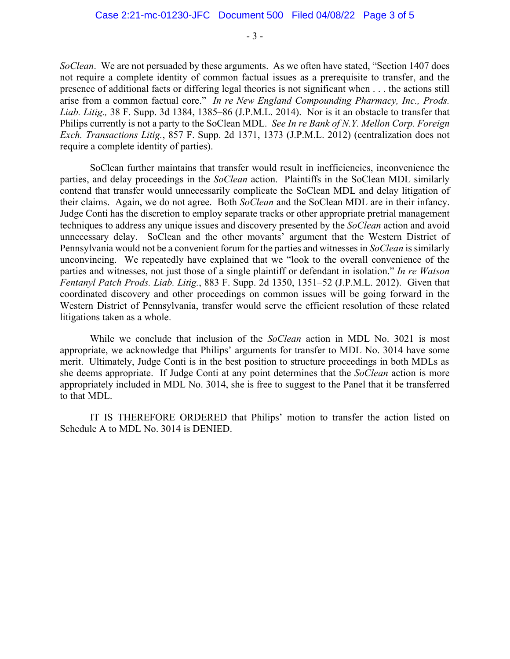*SoClean*. We are not persuaded by these arguments. As we often have stated, "Section 1407 does not require a complete identity of common factual issues as a prerequisite to transfer, and the presence of additional facts or differing legal theories is not significant when . . . the actions still arise from a common factual core." *In re New England Compounding Pharmacy, Inc., Prods. Liab. Litig.,* 38 F. Supp. 3d 1384, 1385–86 (J.P.M.L. 2014). Nor is it an obstacle to transfer that Philips currently is not a party to the SoClean MDL. *See In re Bank of N.Y. Mellon Corp. Foreign Exch. Transactions Litig.*, 857 F. Supp. 2d 1371, 1373 (J.P.M.L. 2012) (centralization does not require a complete identity of parties).

SoClean further maintains that transfer would result in inefficiencies, inconvenience the parties, and delay proceedings in the *SoClean* action. Plaintiffs in the SoClean MDL similarly contend that transfer would unnecessarily complicate the SoClean MDL and delay litigation of their claims. Again, we do not agree. Both *SoClean* and the SoClean MDL are in their infancy. Judge Conti has the discretion to employ separate tracks or other appropriate pretrial management techniques to address any unique issues and discovery presented by the *SoClean* action and avoid unnecessary delay. SoClean and the other movants' argument that the Western District of Pennsylvania would not be a convenient forum for the parties and witnesses in *SoClean* is similarly unconvincing. We repeatedly have explained that we "look to the overall convenience of the parties and witnesses, not just those of a single plaintiff or defendant in isolation." *In re Watson Fentanyl Patch Prods. Liab. Litig.*, 883 F. Supp. 2d 1350, 1351–52 (J.P.M.L. 2012). Given that coordinated discovery and other proceedings on common issues will be going forward in the Western District of Pennsylvania, transfer would serve the efficient resolution of these related litigations taken as a whole.

While we conclude that inclusion of the *SoClean* action in MDL No. 3021 is most appropriate, we acknowledge that Philips' arguments for transfer to MDL No. 3014 have some merit. Ultimately, Judge Conti is in the best position to structure proceedings in both MDLs as she deems appropriate. If Judge Conti at any point determines that the *SoClean* action is more appropriately included in MDL No. 3014, she is free to suggest to the Panel that it be transferred to that MDL.

IT IS THEREFORE ORDERED that Philips' motion to transfer the action listed on Schedule A to MDL No. 3014 is DENIED.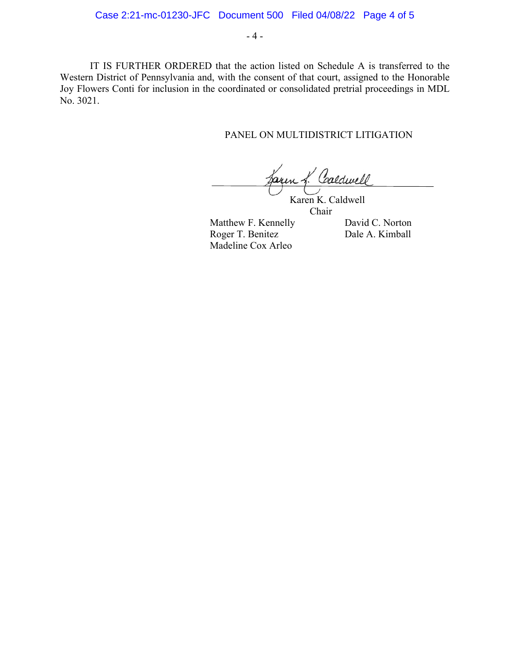IT IS FURTHER ORDERED that the action listed on Schedule A is transferred to the Western District of Pennsylvania and, with the consent of that court, assigned to the Honorable Joy Flowers Conti for inclusion in the coordinated or consolidated pretrial proceedings in MDL No. 3021.

#### PANEL ON MULTIDISTRICT LITIGATION

Caldwell aren.

 Karen K. Caldwell Chair

Matthew F. Kennelly David C. Norton Roger T. Benitez Dale A. Kimball Madeline Cox Arleo